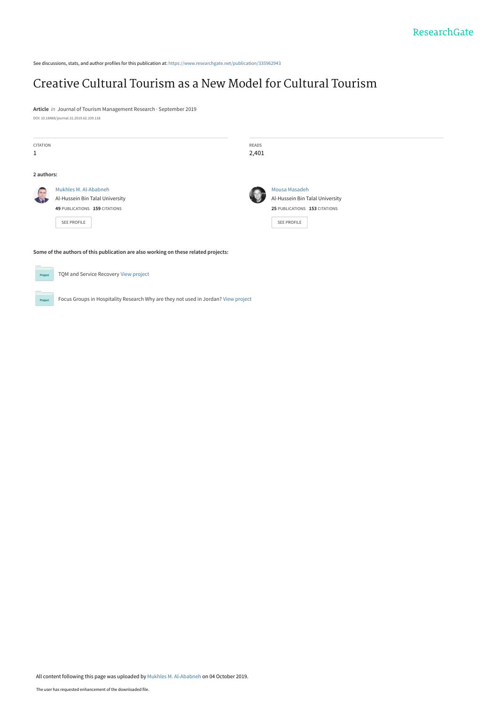See discussions, stats, and author profiles for this publication at: [https://www.researchgate.net/publication/335962943](https://www.researchgate.net/publication/335962943_Creative_Cultural_Tourism_as_a_New_Model_for_Cultural_Tourism?enrichId=rgreq-3ea5c0a2776c6ce4982e6e6acff16c06-XXX&enrichSource=Y292ZXJQYWdlOzMzNTk2Mjk0MztBUzo4MTAzNTE1NjIwOTI1NDRAMTU3MDIxNDI3NjE3NA%3D%3D&el=1_x_2&_esc=publicationCoverPdf)

# [Creative Cultural Tourism as a New Model for Cultural Tourism](https://www.researchgate.net/publication/335962943_Creative_Cultural_Tourism_as_a_New_Model_for_Cultural_Tourism?enrichId=rgreq-3ea5c0a2776c6ce4982e6e6acff16c06-XXX&enrichSource=Y292ZXJQYWdlOzMzNTk2Mjk0MztBUzo4MTAzNTE1NjIwOTI1NDRAMTU3MDIxNDI3NjE3NA%3D%3D&el=1_x_3&_esc=publicationCoverPdf)

**Article** in Journal of Tourism Management Research · September 2019 DOI: 10.18488/journal.31.2019.62.109.118

| <b>CITATION</b><br>1                                                                |                                                                                                                 | READS<br>2,401 |                                                                                                  |  |
|-------------------------------------------------------------------------------------|-----------------------------------------------------------------------------------------------------------------|----------------|--------------------------------------------------------------------------------------------------|--|
| 2 authors:                                                                          |                                                                                                                 |                |                                                                                                  |  |
| $\overline{\phantom{a}}$                                                            | Mukhles M. Al-Ababneh<br>Al-Hussein Bin Talal University<br>49 PUBLICATIONS 159 CITATIONS<br><b>SEE PROFILE</b> |                | Mousa Masadeh<br>Al-Hussein Bin Talal University<br>25 PUBLICATIONS 153 CITATIONS<br>SEE PROFILE |  |
| Some of the authors of this publication are also working on these related projects: |                                                                                                                 |                |                                                                                                  |  |



TQM and Service Recovery [View project](https://www.researchgate.net/project/TQM-and-Service-Recovery?enrichId=rgreq-3ea5c0a2776c6ce4982e6e6acff16c06-XXX&enrichSource=Y292ZXJQYWdlOzMzNTk2Mjk0MztBUzo4MTAzNTE1NjIwOTI1NDRAMTU3MDIxNDI3NjE3NA%3D%3D&el=1_x_9&_esc=publicationCoverPdf)

Project

Project

All content following this page was uploaded by [Mukhles M. Al-Ababneh](https://www.researchgate.net/profile/Mukhles_Al-Ababneh?enrichId=rgreq-3ea5c0a2776c6ce4982e6e6acff16c06-XXX&enrichSource=Y292ZXJQYWdlOzMzNTk2Mjk0MztBUzo4MTAzNTE1NjIwOTI1NDRAMTU3MDIxNDI3NjE3NA%3D%3D&el=1_x_10&_esc=publicationCoverPdf) on 04 October 2019.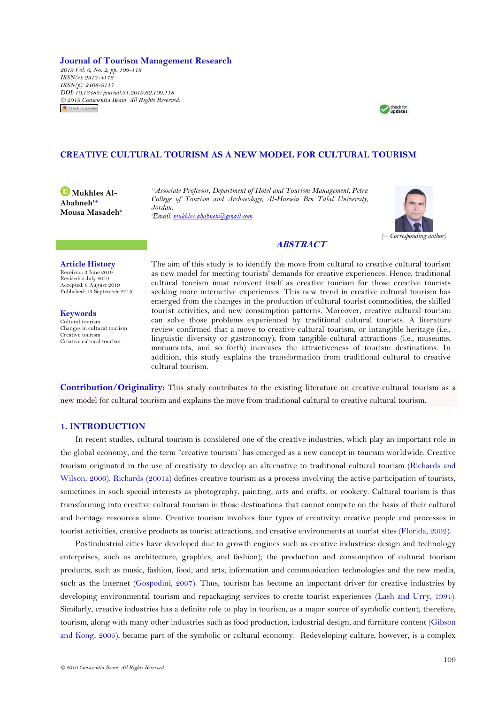**Journal of Tourism Management Research**

*2019 Vol. 6, No. 2, pp. 109-118 ISSN(e): 2313-4178 ISSN(p): 2408-9117 DOI: 10.18488/journal.31.2019.62.109.118 © 2019 Conscientia Beam. All Rights Reserved.*Check for updates



# **CREATIVE CULTURAL TOURISM AS A NEW MODEL FOR CULTURAL TOURISM**

**D[M](https://orcid.org/0000-0001-8898-3061)ukhles** Al-**Ababneh1+ Mousa Masadeh<sup>2</sup>** *1,2Associate Professor, Department of Hotel and Tourism Management, Petra College of Tourism and Archaeology, Al-Hussein Bin Talal University, Jordan.*



# **ABSTRACT**

## **Article History**

Received: 3 June 2019 Revised: 5 July 2019 Accepted: 8 August 2019 Published: 13 September 2019

**Keywords** Cultural tourism Changes in cultural tourism Creative tourism Creative cultural tourism.

The aim of this study is to identify the move from cultural to creative cultural tourism as new model for meeting tourists' demands for creative experiences. Hence, traditional cultural tourism must reinvent itself as creative tourism for those creative tourists seeking more interactive experiences. This new trend in creative cultural tourism has emerged from the changes in the production of cultural tourist commodities, the skilled tourist activities, and new consumption patterns. Moreover, creative cultural tourism can solve those problems experienced by traditional cultural tourists. A literature review confirmed that a move to creative cultural tourism, or intangible heritage (i.e., linguistic diversity or gastronomy), from tangible cultural attractions (i.e., museums, monuments, and so forth) increases the attractiveness of tourism destinations. In addition, this study explains the transformation from traditional cultural to creative cultural tourism.

**Contribution/Originality:** This study contributes to the existing literature on creative cultural tourism as a new model for cultural tourism and explains the move from traditional cultural to creative cultural tourism.

# **1. INTRODUCTION**

In recent studies, cultural tourism is considered one of the creative industries, which play an important role in the global economy, and the term "creative tourism" has emerged as a new concept in tourism worldwide. Creative tourism originated in the use of creativity to develop an alternative to traditional cultural tourism [\(Richards and](#page-9-0)  [Wilson, 2006\)](#page-9-0). [Richards \(2001a\)](#page-9-1) defines creative tourism as a process involving the active participation of tourists, sometimes in such special interests as photography, painting, arts and crafts, or cookery. Cultural tourism is thus transforming into creative cultural tourism in those destinations that cannot compete on the basis of their cultural and heritage resources alone. Creative tourism involves four types of creativity: creative people and processes in tourist activities, creative products as tourist attractions, and creative environments at tourist sites [\(Florida, 2002\)](#page-7-0).

Postindustrial cities have developed due to growth engines such as creative industries: design and technology enterprises, such as architecture, graphics, and fashion); the production and consumption of cultural tourism products, such as music, fashion, food, and arts; information and communication technologies and the new media, such as the internet [\(Gospodini, 2007\)](#page-8-0). Thus, tourism has become an important driver for creative industries by developing environmental tourism and repackaging services to create tourist experiences [\(Lash and Urry, 1994\)](#page-8-1). Similarly, creative industries has a definite role to play in tourism, as a major source of symbolic content; therefore, tourism, along with many other industries such as food production, industrial design, and furniture content [\(Gibson](#page-7-1)  [and Kong, 2005\)](#page-7-1), became part of the symbolic or cultural economy. Redeveloping culture, however, is a complex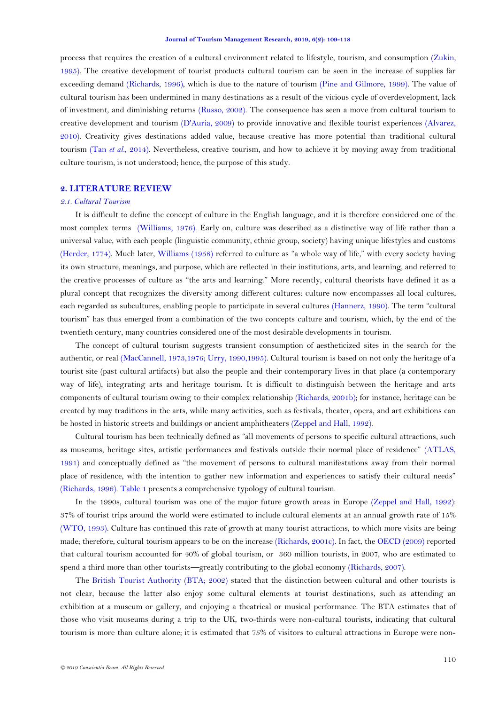process that requires the creation of a cultural environment related to lifestyle, tourism, and consumption [\(Zukin,](#page-10-0)  [1995\)](#page-10-0). The creative development of tourist products cultural tourism can be seen in the increase of supplies far exceeding demand [\(Richards, 1996\)](#page-9-2), which is due to the nature of tourism [\(Pine and Gilmore, 1999\)](#page-8-2). The value of cultural tourism has been undermined in many destinations as a result of the vicious cycle of overdevelopment, lack of investment, and diminishing returns [\(Russo, 2002\)](#page-9-3). The consequence has seen a move from cultural tourism to creative development and tourism [\(D'Auria, 2009\)](#page-7-2) to provide innovative and flexible tourist experiences [\(Alvarez,](#page-6-0)  [2010\)](#page-6-0). Creativity gives destinations added value, because creative has more potential than traditional cultural tourism (Tan *et al.*[, 2014\)](#page-9-4). Nevertheless, creative tourism, and how to achieve it by moving away from traditional culture tourism, is not understood; hence, the purpose of this study.

## **2. LITERATURE REVIEW**

#### *2.1. Cultural Tourism*

It is difficult to define the concept of culture in the English language, and it is therefore considered one of the most complex terms [\(Williams, 1976\)](#page-10-1). Early on, culture was described as a distinctive way of life rather than a universal value, with each people (linguistic community, ethnic group, society) having unique lifestyles and customs [\(Herder, 1774\)](#page-8-3). Much later, Williams  $(1958)$  referred to culture as "a whole way of life," with every society having its own structure, meanings, and purpose, which are reflected in their institutions, arts, and learning, and referred to the creative processes of culture as "the arts and learning." More recently, cultural theorists have defined it as a plural concept that recognizes the diversity among different cultures: culture now encompasses all local cultures, each regarded as subcultures, enabling people to participate in several cultures [\(Hannerz, 1990\)](#page-8-4). The term "cultural tourism‖ has thus emerged from a combination of the two concepts culture and tourism, which, by the end of the twentieth century, many countries considered one of the most desirable developments in tourism.

The concept of cultural tourism suggests transient consumption of aestheticized sites in the search for the authentic, or real [\(MacCannell, 1973,1976;](#page-8-5) [Urry, 1990,1995\)](#page-9-5). Cultural tourism is based on not only the heritage of a tourist site (past cultural artifacts) but also the people and their contemporary lives in that place (a contemporary way of life), integrating arts and heritage tourism. It is difficult to distinguish between the heritage and arts components of cultural tourism owing to their complex relationship [\(Richards, 2001b\)](#page-9-6); for instance, heritage can be created by may traditions in the arts, while many activities, such as festivals, theater, opera, and art exhibitions can be hosted in historic streets and buildings or ancient amphitheaters [\(Zeppel and Hall, 1992\)](#page-10-3).

Cultural tourism has been technically defined as "all movements of persons to specific cultural attractions, such as museums, heritage sites, artistic performances and festivals outside their normal place of residence" (ATLAS, [1991\)](#page-7-3) and conceptually defined as "the movement of persons to cultural manifestations away from their normal place of residence, with the intention to gather new information and experiences to satisfy their cultural needs" [\(Richards, 1996\)](#page-9-2)[. Table 1](#page-3-0) presents a comprehensive typology of cultural tourism.

In the 1990s, cultural tourism was one of the major future growth areas in Europe [\(Zeppel and Hall, 1992\)](#page-10-3): 37% of tourist trips around the world were estimated to include cultural elements at an annual growth rate of 15% [\(WTO, 1993\)](#page-10-4). Culture has continued this rate of growth at many tourist attractions, to which more visits are being made; therefore, cultural tourism appears to be on the increase [\(Richards, 2001c\)](#page-9-7). In fact, the [OECD \(2009\)](#page-8-6) reported that cultural tourism accounted for 40% of global tourism, or 360 million tourists, in 2007, who are estimated to spend a third more than other tourists—greatly contributing to the global economy [\(Richards, 2007\)](#page-9-8).

The [British Tourist Authority \(BTA; 2002\)](#page-7-4) stated that the distinction between cultural and other tourists is not clear, because the latter also enjoy some cultural elements at tourist destinations, such as attending an exhibition at a museum or gallery, and enjoying a theatrical or musical performance. The BTA estimates that of those who visit museums during a trip to the UK, two-thirds were non-cultural tourists, indicating that cultural tourism is more than culture alone; it is estimated that 75% of visitors to cultural attractions in Europe were non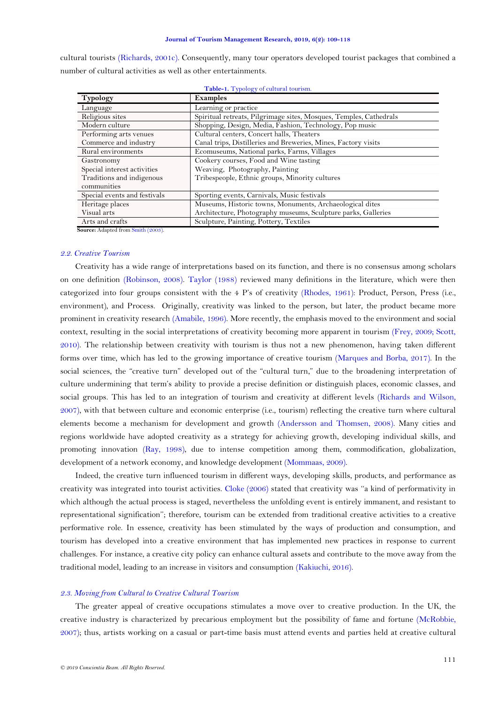cultural tourists [\(Richards, 2001c\)](#page-9-7). Consequently, many tour operators developed tourist packages that combined a number of cultural activities as well as other entertainments.

<span id="page-3-0"></span>

| <b>Typology</b>              | <b>Examples</b>                                                    |  |  |
|------------------------------|--------------------------------------------------------------------|--|--|
| Language                     | Learning or practice                                               |  |  |
| Religious sites              | Spiritual retreats, Pilgrimage sites, Mosques, Temples, Cathedrals |  |  |
| Modern culture               | Shopping, Design, Media, Fashion, Technology, Pop music            |  |  |
| Performing arts venues       | Cultural centers, Concert halls, Theaters                          |  |  |
| Commerce and industry        | Canal trips, Distilleries and Breweries, Mines, Factory visits     |  |  |
| Rural environments           | Ecomuseums, National parks, Farms, Villages                        |  |  |
| Gastronomy                   | Cookery courses, Food and Wine tasting                             |  |  |
| Special interest activities  | Weaving, Photography, Painting                                     |  |  |
| Traditions and indigenous    | Tribespeople, Ethnic groups, Minority cultures                     |  |  |
| communities                  |                                                                    |  |  |
| Special events and festivals | Sporting events, Carnivals, Music festivals                        |  |  |
| Heritage places              | Museums, Historic towns, Monuments, Archaeological dites           |  |  |
| Visual arts                  | Architecture, Photography museums, Sculpture parks, Galleries      |  |  |
| Arts and crafts              | Sculpture, Painting, Pottery, Textiles                             |  |  |

**Table-1.** Typology of cultural tourism.

**Source:** Adapted from [Smith \(2003\).](#page-9-9)

## *2.2. Creative Tourism*

Creativity has a wide range of interpretations based on its function, and there is no consensus among scholars on one definition [\(Robinson, 2008\)](#page-9-10). [Taylor \(1988\)](#page-9-11) reviewed many definitions in the literature, which were then categorized into four groups consistent with the 4 P's of creativity [\(Rhodes, 1961\)](#page-9-12): Product, Person, Press (i.e., environment), and Process. Originally, creativity was linked to the person, but later, the product became more prominent in creativity research [\(Amabile, 1996\)](#page-6-1). More recently, the emphasis moved to the environment and social context, resulting in the social interpretations of creativity becoming more apparent in tourism [\(Frey, 2009;](#page-7-5) [Scott,](#page-9-13)  [2010\)](#page-9-13). The relationship between creativity with tourism is thus not a new phenomenon, having taken different forms over time, which has led to the growing importance of creative tourism [\(Marques and Borba, 2017\)](#page-8-7). In the social sciences, the "creative turn" developed out of the "cultural turn," due to the broadening interpretation of culture undermining that term's ability to provide a precise definition or distinguish places, economic classes, and social groups. This has led to an integration of tourism and creativity at different levels [\(Richards and Wilson,](#page-9-14)  [2007\)](#page-9-14), with that between culture and economic enterprise (i.e., tourism) reflecting the creative turn where cultural elements become a mechanism for development and growth [\(Andersson and Thomsen, 2008\)](#page-7-6). Many cities and regions worldwide have adopted creativity as a strategy for achieving growth, developing individual skills, and promoting innovation [\(Ray, 1998\)](#page-8-8), due to intense competition among them, commodification, globalization, development of a network economy, and knowledge development [\(Mommaas, 2009\)](#page-8-9).

Indeed, the creative turn influenced tourism in different ways, developing skills, products, and performance as creativity was integrated into tourist activities. [Cloke \(2006\)](#page-7-7) stated that creativity was "a kind of performativity in which although the actual process is staged, nevertheless the unfolding event is entirely immanent, and resistant to representational signification''; therefore, tourism can be extended from traditional creative activities to a creative performative role. I[n](http://www.liepajaskultura.lv/uploads/files/4169.pdf) essence, creativity has been stimulated by the ways of production and consumption, and tourism has developed into a creative environment that has implemented new practices in response to current challenges. For instance, a creative city policy can enhance cultural assets and contribute to the move away from the traditional model, leading to an increase in visitors and consumption [\(Kakiuchi, 2016\)](#page-8-10).

## *2.3. Moving from Cultural to Creative Cultural Tourism*

The greater appeal of creative occupations stimulates a move over to creative production. In the UK, the creative industry is characterized by precarious employment but the possibility of fame and fortune [\(McRobbie,](#page-8-11)  [2007\)](#page-8-11); thus, artists working on a casual or part-time basis must attend events and parties held at creative cultural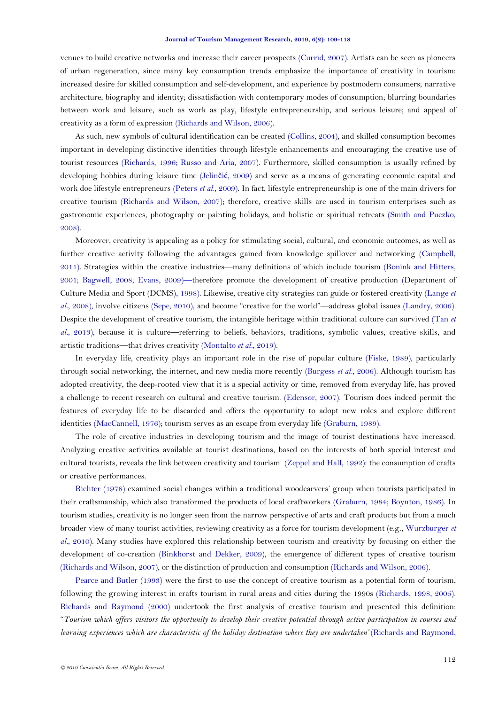#### **Journal of Tourism Management Research, 2019, 6(2): 109-118**

venues to build creative networks and increase their career prospects [\(Currid, 2007\)](#page-7-8). Artists can be seen as pioneers of urban regeneration, since many key consumption trends emphasize the importance of creativity in tourism: increased desire for skilled consumption and self-development, and experience by postmodern consumers; narrative architecture; biography and identity; dissatisfaction with contemporary modes of consumption; blurring boundaries between work and leisure, such as work as play, lifestyle entrepreneurship, and serious leisure; and appeal o[f](http://eprints.uwe.ac.uk/view/year/2008.html) creativity as a form of expression [\(Richards and Wilson, 2006\)](#page-9-0).

As such, new symbols of cultural identification can be created [\(Collins, 2004\)](#page-7-9), and skilled consumption becomes important in developing distinctive identities through lifestyle enhancements and encouraging the creative use of tourist resources [\(Richards, 1996;](#page-9-2) [Russo and Aria, 2007\)](#page-9-15). Furthermore, skilled consumption is usually refined by developing hobbies during leisure time (Jelinčić[, 2009\)](#page-8-12) and serve as a means of generating economic capital and work doe lifestyle entrepreneurs [\(Peters](#page-8-13) *et al.*, 2009). In fact, lifestyle entrepreneurship is one of the main drivers for creative tourism [\(Richards and Wilson, 2007\)](#page-9-14); therefore, creative skills are used in tourism enterprises such as gastronomic experiences, photography or painting holidays, and holistic or spiritual retreats [\(Smith and Puczko,](#page-9-16)  [2008\)](#page-9-16).

Moreover, creativity is appealing as a policy for stimulating social, cultural, and economic outcomes, as well as further creative activity following the advantages gained from knowledge spillover and networking [\(Campbell,](#page-7-10)  [2011\)](#page-7-10). Strategies within the creative industries—many definitions of which include tourism [\(Bonink and Hitters,](#page-7-11)  [2001;](#page-7-11) [Bagwell, 2008;](#page-7-12) [Evans, 2009\)](#page-7-13)—therefore promote the development of creative production [\(Department of](#page-7-14)  [Culture Media and Sport \(DCMS\), 1998\)](#page-7-14). Likewise, creative city strategies can guide or fostered creativity [\(Lange](#page-8-14) *et*  al.[, 2008\)](#page-8-14), involve citizens [\(Sepe, 2010\)](#page-9-17), and become "creative for the world"—address global issues [\(Landry, 2006\)](#page-8-15). Despite the development of creative tourism, the intangible heritage within traditional culture can survived [\(Tan](#page-9-18) *et al.*[, 2013\)](#page-9-18), because it is culture—referring to beliefs, behaviors, traditions, symbolic values, creative skills, and artistic traditions—that drives creativity [\(Montalto](#page-8-16) *et al.*, 2019).

In everyday life, creativity plays an important role in the rise o[f](http://dspace.epoka.edu.al/bitstream/handle/1/886/278.pdf?sequence=1) popular culture [\(Fiske, 1989\)](#page-7-15), particularly through social networking, the internet, and new media more recently [\(Burgess](#page-7-16) *et al.*, 2006). Although tourism has adopted creativity, the deep-rooted view that it is a special activity or time, removed from everyday life, has proved a challenge to recent research on cultural and creative tourism. [\(Edensor, 2007\)](#page-7-17). Tourism does indeed permit the features of everyday life to be discarded and offers the opportunity to adopt new roles and explore different identities [\(MacCannell, 1976\)](#page-8-17); tourism serves as an escape from everyday life [\(Graburn, 1989\)](#page-8-18).

The role of creative industries in developing tourism and the image of tourist destinations have increased. Analyzing creative activities available at tourist destinations, based on the interests of both special interest and cultural tourists, reveals the link between creativity and tourism [\(Zeppel and Hall, 1992\)](#page-10-3): the consumption of crafts or creative performances.

[Richter \(1978\)](#page-9-19) examined social changes within a traditional woodcarvers' group when tourists participated in their craftsmanship, which also transformed the products of local craftworkers [\(Graburn, 1984;](#page-8-19) [Boynton, 1986\)](#page-7-18). In tourism studies, creativity is no longer seen from the narrow perspective of arts and craft products but from a much broader view of many touris[t](http://tigerprints.clemson.edu/cgi/viewcontent.cgi?article=2084&context=all_dissertations) activities, reviewing creativity as a force for tourism development (e.g., [Wurzburger](#page-10-5) *et al.*, [2010\)](#page-10-5). Many studies have explored this relationship between tourism and creativity by focusing on either the development of co-creation [\(Binkhorst and Dekker, 2009\)](#page-7-19), the emergence of different types of creative tourism [\(Richards and Wilson, 2007\)](#page-9-14), or the distinction of production and consumption [\(Richards and Wilson, 2006\)](#page-9-0).

[Pearce and Butler \(1993\)](#page-8-20) were the first to use the concept of creative tourism as a potential form of tourism, following the growing interest in crafts tourism in rural areas and cities during the 1990s [\(Richards, 1998, 2005\)](#page-9-20). [Richards and Raymond \(2000\)](#page-9-21) undertook the first analysis of creative tourism and presented this definition: ‗‗*Tourism which offers visitors the opportunity to develop their creative potential through active participation in courses and learning experiences which are characteristic of the holiday destination where they are undertaken*''[\(Richards and Raymond,](#page-9-21)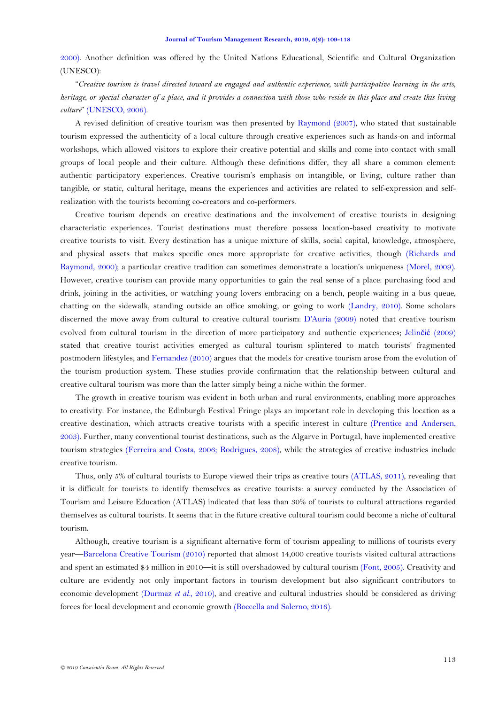[2000\)](#page-9-21). [A](http://www.mtc.gov.on.ca/en/publications/Ontario_Cultural_and_Heritage_Tourism.pdf)nother definition was offered by the United Nations Educational, Scientific and Cultural Organization (UNESCO):

―*Creative tourism is travel directed toward an engaged and authentic experience, with participative learning in the arts, heritage, or special character of a place, and it provides a connection with those who reside in this place and create this living culture*‖ [\(UNESCO, 2006\)](#page-9-22).

A revised definition of creative tourism was then presented by [Raymond \(2007\)](#page-9-23), who stated that sustainable tourism expressed the authenticity of a local culture through creative experiences such as hands-on and informal workshops, which allowed visitors to explore their creative potential and skills and come into contact with small groups of local people and their culture. Although these definitions differ, they all share a common element: authentic participatory experiences. Creative tourism's emphasis on intangible, or living, culture rather than tangible, or static, cultural heritage, means the experiences and activities ar[e](http://dspace.unive.it/bitstream/handle/10579/10107/855698-1204087.pdf?sequence=2) related to self-expression and selfrealization with the tourists becoming co-creators and co-performers.

Creative tourism depends on creative destinations and the involvement of creative tourists in designing characteristic experiences. Tourist destinations must therefore possess location-based creativity to motivate creative tourists to visit. Every destination has a unique mixture of skills, social capital, knowledge, atmosphere, and physical assets that makes specific ones more appropriate for creative activities, though [\(Richards and](#page-9-21)  [Raymond, 2000\)](#page-9-21); a particular creative tradition can sometimes demonstrate a location's uniqueness [\(Morel, 2009\)](#page-8-21). However, creative tourism can provide many opportunities to gain the real sense of a place: purchasing food and drink, joining in the activities, or watching young lovers embracing on a bench, people waiting in a bus queue, chatting on the sidewalk, standing outside an office smoking, or going to work [\(Landry, 2010\)](#page-8-22). Some scholars discerned the move away from cultural to creative cultural tourism: [D'Auria \(2009\)](#page-7-2) noted that creative touris[m](http://dspace.unive.it/bitstream/handle/10579/10107/855698-1204087.pdf?sequence=2) evolved from cultural tourism in the direction of more participatory and authentic experiences; Jelinčić [\(2009\)](#page-8-12) stated that creative tourist activities emerged as cultural tourism splintered to match tourists' fragmented postmodern lifestyles; and [Fernandez \(2010\)](#page-7-20) argues that the models for creative tourism arose from the evolution of the tourism production system. These studies provide confirmation that the relationship between cultural and creative cultural tourism was more than the latter simply being a niche within the former.

The growth in creative tourism was evident in both urban and rural environments, enabling more approaches to creativity. For instance, the Edinburgh Festival Fringe plays an important role in developing this location as a creative destination, which attracts creative tourists with a specific interest in culture [\(Prentice and Andersen,](#page-8-23)  [2003\)](#page-8-23). Further, many conventional tourist destinations, such as the Algarve in Portugal, have implemented creative tourism strategies [\(Ferreira and Costa, 2006;](#page-7-21) [Rodrigues, 2008\)](#page-9-24), while the strategies of creative industries include creative tourism.

Thus, only 5% of cultural tourists to Europe viewed their trips as creative tours [\(ATLAS, 2011\)](#page-7-22), revealing that it is difficult for tourists to identify themselves as creative tourists: a survey conducted by the Association of Tourism and Leisure Education (ATLAS) indicated that less than 30% of tourists to cultural attractions regarded themselves as cultural tourists. It seems that in the future creative cultural tourism could become a niche of cultural tourism.

Although, creative tourism is a significant alternative form of tourism appealing to millions of tourists every year—[Barcelona Creative Tourism \(2010\)](#page-7-23) reported that almost 14,000 creative tourists visited cultural attractions and spent an estimated \$4 million in 2010—it is still overshadowed by cultural tourism [\(Font, 2005\)](#page-7-24). Creativity and culture are evidently not only important factors in tourism development but also significant contributors to economic development [\(Durmaz](#page-7-25) *et al.*, 2010), and creative and cultural industries should be considered as driving forces for local development and economic growth [\(Boccella and Salerno, 2016\)](#page-7-26).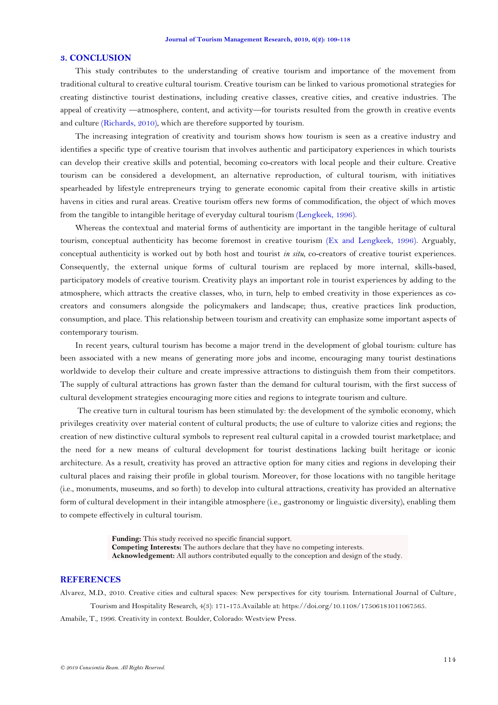### **3. CONCLUSION**

This study contributes to the understanding of creative tourism and importance of the movement from traditional cultural to creative cultural tourism. Creative tourism can be linked to various promotional strategies for creating distinctive tourist destinations, including creative classes, creative cities, and creative industries. The appeal of creativity —atmosphere, content, and activity—for tourists resulted from the growth in creativ[e](http://doczz.net/doc/5061667/xvi-starptautisk%C4%81-zin%C4%81tnisk%C4%81-konference) events and culture [\(Richards, 2010\)](#page-9-25), which are therefore supported by tourism.

The increasing integration of creativity and tourism shows how tourism is seen as a creative industry and identifies a specific type of creative tourism that involves authentic and participatory experiences in which tourists can develop their creative skills and potential, becoming co-creators with local people and their culture. Creative tourism can be considered a development, an alternative reproduction, of cultural tourism, with initiatives spearheaded by lifestyle entrepreneurs trying to generate economic capital from their creative skills in artistic havens in cities and rural areas. Creative tourism offers new forms of commodification, the object of which moves from the tangible to intangible heritage of everyday cultural tourism [\(Lengkeek, 1996\)](#page-8-24).

Whereas the contextual and material forms of authenticity are important in the tangible heritage of cultural tourism, conceptual authenticity has become foremost in creative tourism [\(Ex and Lengkeek, 1996\)](#page-7-27). Arguably, conceptual authenticity is worked out by both host and tourist *in situ*, co-creators of creative tourist experiences. Consequently, the external unique forms of cultural tourism are replaced by more internal, skills-based, participatory models of creative tourism. Creativity plays an important role in tourist experiences by adding to the atmosphere, which attracts the creative classes, who, in turn, help to embed creativity in those experiences as cocreators and consumers alongside the policymakers and landscape; thus, creative practices link production, consumption, and place. This relationship between tourism and creativity can emphasize some important aspects of contemporary tourism.

In recent years, cultural tourism has become a major trend in the development of global tourism: culture has been associated with a new means of generating more jobs and income, encouraging many tourist destinations worldwide to develop their culture and create impressive attractions to distinguish them from their competitors. The supply of cultural attractions has grown faster than the demand for cultural tourism, with the first success of cultural development strategies encouraging more cities and regions to integrate tourism and culture.

The creative turn in cultural tourism has been stimulated by: the development of the symbolic economy, which privileges creativity over material content of cultural products; the use of culture to valorize cities and regions; the creation of new distinctive cultural symbols to represent real cultural capital in a crowded tourist marketplace; and the need for a new means of cultural development for tourist destinations lacking built heritage or iconic architecture. As a result, creativity has proved an attractive option for many cities and regions in developing their cultural places and raising their profile in global tourism. Moreover, for those locations with no tangible heritage (i.e., monuments, museums, and so forth) to develop into cultural attractions, creativity has provided an alternative form of cultural development in their intangible atmosphere (i.e., gastronomy or linguistic diversity), enabling them to compete effectively in cultural tourism.

> **Funding:** This study received no specific financial support. **Competing Interests:** The authors declare that they have no competing interests. **Acknowledgement:** All authors contributed equally to the conception and design of the study.

## **REFERENCES**

<span id="page-6-1"></span><span id="page-6-0"></span>Alvarez, M.D., 2010. Creative cities and cultural spaces: New perspectives for city tourism. International Journal of Culture, Tourism and Hospitality Research, 4(3): 171-175.Available at: https://doi.org/10.1108/17506181011067565. Amabile, T., 1996. Creativity in context. Boulder, Colorado: Westview Press.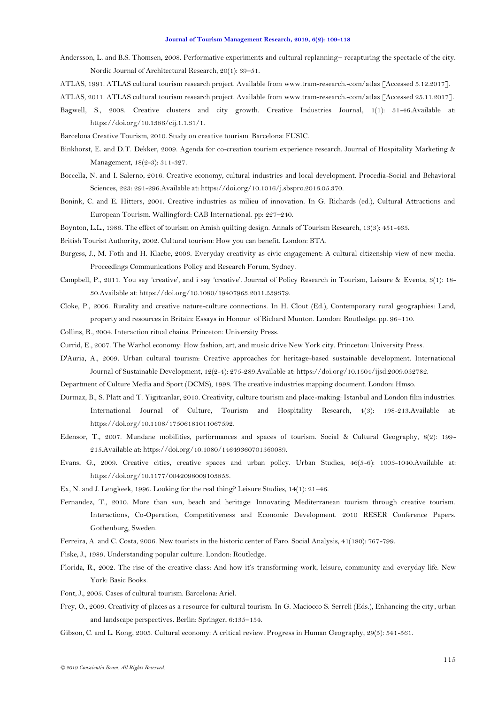- <span id="page-7-6"></span>Andersson, L. and B.S. Thomsen, 2008. Performative experiments and cultural replanning– recapturing the spectacle of the city. Nordic Journal of Architectural Research, 20(1): 39–51.
- <span id="page-7-3"></span>ATLAS, 1991. ATLAS cultural tourism research project. Available from www.tram-research.-com/atlas [Accessed 5.12.2017].
- <span id="page-7-22"></span>ATLAS, 2011. ATLAS cultural tourism research project. Available from www.tram-research.-com/atlas [Accessed 25.11.2017].
- <span id="page-7-12"></span>Bagwell, S., 2008. Creative clusters and city growth. Creative Industries Journal, 1(1): 31-46.Available at: https://doi.org/10.1386/cij.1.1.31/1.
- <span id="page-7-23"></span>Barcelona Creative Tourism, 2010. Study on creative tourism. Barcelona: FUSIC.
- <span id="page-7-19"></span>Binkhorst, E. and D.T. Dekker, 2009. Agenda for co-creation tourism experience research. Journal of Hospitality Marketing & Management, 18(2-3): 311-327.
- <span id="page-7-26"></span>Boccella, N. and I. Salerno, 2016. Creative economy, cultural industries and local development. Procedia-Social and Behavioral Sciences, 223: 291-296.Available at: https://doi.org/10.1016/j.sbspro.2016.05.370.
- <span id="page-7-11"></span>Bonink, C. and E. Hitters, 2001. Creative industries as milieu of innovation. In G. Richards (ed.), Cultural Attractions and European Tourism. Wallingford: CAB International. pp: 227–240.
- <span id="page-7-18"></span>Boynton, L.L., 1986. The effect of tourism on Amish quilting design. Annals of Tourism Research, 13(3): 451-465.
- <span id="page-7-4"></span>British Tourist Authority, 2002. Cultural tourism: How you can benefit. London: BTA.
- <span id="page-7-16"></span>Burgess, J., M. Foth and H. Klaebe, 2006. Everyday creativity as civic engagement: A cultural citizenship view of new media. Proceedings Communications Policy and Research Forum, Sydney.
- <span id="page-7-10"></span>Campbell, P., 2011. You say 'creative', and i say 'creative'. Journal of Policy Research in Tourism, Leisure & Events, 3(1): 18-30.Available at: https://doi.org/10.1080/19407963.2011.539379.
- <span id="page-7-7"></span>Cloke, P., 2006. Rurality and creative nature-culture connections. In H. Clout (Ed.), Contemporary rural geographies: Land, property and resources in Britain: Essays in Honour of Richard Munton. London: Routledge. pp. 96–110.
- <span id="page-7-9"></span>Collins, R., 2004. Interaction ritual chains. Princeton: University Press.
- <span id="page-7-8"></span>Currid, E., 2007. The Warhol economy: How fashion, art, and music drive New York city. Princeton: University Press.
- <span id="page-7-2"></span>D'Auria, A., 2009. Urban cultural tourism: Creative approaches for heritage-based sustainable development. International Journal of Sustainable Development, 12(2-4): 275-289.Available at: https://doi.org/10.1504/ijsd.2009.032782.
- <span id="page-7-14"></span>Department of Culture Media and Sport (DCMS), 1998. The creative industries mapping document. London: Hmso.
- <span id="page-7-25"></span>Durmaz, B., S. Platt and T. Yigitcanlar, 2010. Creativity, culture tourism and place-making: Istanbul and London film industries. International Journal of Culture, Tourism and Hospitality Research, 4(3): 198-213.Available at: https://doi.org/10.1108/17506181011067592.
- <span id="page-7-17"></span>Edensor, T., 2007. Mundane mobilities, performances and spaces of tourism. Social & Cultural Geography, 8(2): 199- 215.Available at: https://doi.org/10.1080/14649360701360089.
- <span id="page-7-13"></span>Evans, G., 2009. Creative cities, creative spaces and urban policy. Urban Studies, 46(5-6): 1003-1040.Available at: https://doi.org/10.1177/0042098009103853.
- <span id="page-7-27"></span>Ex, N. and J. Lengkeek, 1996. Looking for the real thing? Leisure Studies, 14(1): 21–46.
- <span id="page-7-20"></span>Fernandez, T., 2010. More than sun, beach and heritage: Innovating Mediterranean tourism through creative tourism. Interactions, Co-Operation, Competitiveness and Economic Development. 2010 RESER Conference Papers. Gothenburg, Sweden.
- <span id="page-7-21"></span>Ferreira, A. and C. Costa, 2006. New tourists in the historic center of Faro. Social Analysis, 41(180): 767-799.
- <span id="page-7-15"></span>Fiske, J., 1989. Understanding popular culture. London: Routledge.
- <span id="page-7-0"></span>Florida, R., 2002. The rise of the creative class: And how it's transforming work, leisure, community and everyday life. New York: Basic Books.
- <span id="page-7-24"></span>Font, J., 2005. Cases of cultural tourism. Barcelona: Ariel.
- <span id="page-7-5"></span>Frey, O., 2009. Creativity of places as a resource for cultural tourism. In G. Maciocco S. Serreli (Eds.), Enhancing the city, urban and landscape perspectives. Berlin: Springer, 6:135–154.
- <span id="page-7-1"></span>Gibson, C. and L. Kong, 2005. Cultural economy: A critical review. Progress in Human Geography, 29(5): 541-561.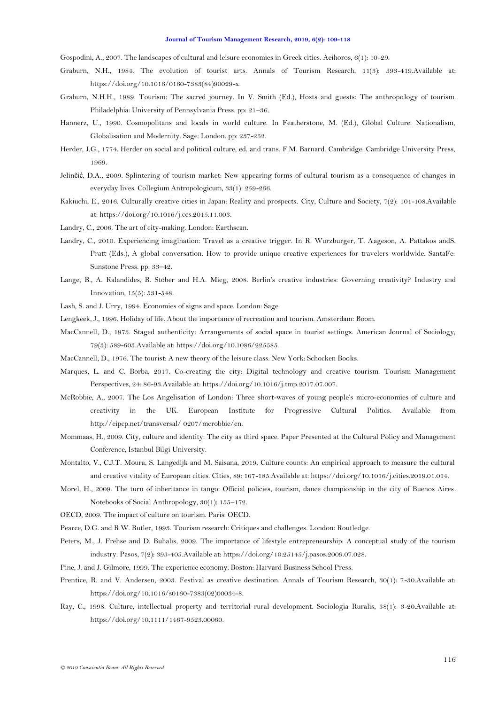<span id="page-8-0"></span>Gospodini, A., 2007. The landscapes of cultural and leisure economies in Greek cities. Aeihoros, 6(1): 10-29.

- <span id="page-8-19"></span>Graburn, N.H., 1984. The evolution of tourist arts. Annals of Tourism Research, 11(3): 393-419.Available at: https://doi.org/10.1016/0160-7383(84)90029-x.
- <span id="page-8-18"></span>Graburn, N.H.H., 1989. Tourism: The sacred journey. In V. Smith (Ed.), Hosts and guests: The anthropology of tourism. Philadelphia: University of Pennsylvania Press. pp: 21–36.
- <span id="page-8-4"></span>Hannerz, U., 1990. Cosmopolitans and locals in world culture. In Featherstone, M. (Ed.), Global Culture: Nationalism, Globalisation and Modernity. Sage: London. pp: 237-252.
- <span id="page-8-3"></span>Herder, J.G., 1774. Herder on social and political culture, ed. and trans. F.M. Barnard. Cambridge: Cambridge University Press, 1969.
- <span id="page-8-12"></span>Jelinčić, D.A., 2009. Splintering of tourism market: New appearing forms of cultural tourism as a consequence of changes in everyday lives. Collegium Antropologicum, 33(1): 259-266.
- <span id="page-8-10"></span>Kakiuchi, E., 2016. Culturally creative cities in Japan: Reality and prospects. City, Culture and Society, 7(2): 101-108.Available at: https://doi.org/10.1016/j.ccs.2015.11.003.
- <span id="page-8-15"></span>Landry, C., 2006. The art of city-making. London: Earthscan.
- <span id="page-8-22"></span>Landry, C., 2010. Experiencing imagination: Travel as a creative trigger. In R. Wurzburger, T. Aageson, A. Pattakos andS. Pratt (Eds.), A global conversation. How to provide unique creative experiences for travelers worldwide. SantaFe: Sunstone Press. pp: 33–42.
- <span id="page-8-14"></span>Lange, B., A. Kalandides, B. Stöber and H.A. Mieg, 2008. Berlin's creative industries: Governing creativity? Industry and Innovation, 15(5): 531-548.
- <span id="page-8-1"></span>Lash, S. and J. Urry, 1994. Economies of signs and space. London: Sage.
- <span id="page-8-24"></span>Lengkeek, J., 1996. Holiday of life. About the importance of recreation and tourism. Amsterdam: Boom.
- <span id="page-8-5"></span>MacCannell, D., 1973. Staged authenticity: Arrangements of social space in tourist settings. American Journal of Sociology, 79(3): 589-603.Available at: https://doi.org/10.1086/225585.
- <span id="page-8-17"></span>MacCannell, D., 1976. The tourist: A new theory of the leisure class. New York: Schocken Books.
- <span id="page-8-7"></span>Marques, L. and C. Borba, 2017. Co-creating the city: Digital technology and creative tourism. Tourism Management Perspectives, 24: 86-93.Available at: https://doi.org/10.1016/j.tmp.2017.07.007.
- <span id="page-8-11"></span>McRobbie, A., 2007. The Los Angelisation of London: Three short-waves of young people's micro-economies of culture and creativity in the UK. European Institute for Progressive Cultural Politics. Available from http://eipcp.net/transversal/ 0207/mcrobbie/en.
- <span id="page-8-9"></span>Mommaas, H., 2009. City, culture and identity: The city as third space. Paper Presented at the Cultural Policy and Management Conference, Istanbul Bilgi University.
- <span id="page-8-16"></span>Montalto, V., C.J.T. Moura, S. Langedijk and M. Saisana, 2019. Culture counts: An empirical approach to measure the cultural and creative vitality of European cities. Cities, 89: 167-185.Available at: https://doi.org/10.1016/j.cities.2019.01.014.
- <span id="page-8-21"></span>Morel, H., 2009. The turn of inheritance in tango: Official policies, tourism, dance championship in the city of Buenos Aires. Notebooks of Social Anthropology, 30(1): 155–172.
- <span id="page-8-6"></span>OECD, 2009. The impact of culture on tourism. Paris: OECD.
- <span id="page-8-20"></span>Pearce, D.G. and R.W. Butler, 1993. Tourism research: Critiques and challenges. London: Routledge.
- <span id="page-8-13"></span>Peters, M., J. Frehse and D. Buhalis, 2009. The importance of lifestyle entrepreneurship: A conceptual study of the tourism industry. Pasos, 7(2): 393-405.Available at: https://doi.org/10.25145/j.pasos.2009.07.028.
- <span id="page-8-2"></span>Pine, J. and J. Gilmore, 1999. The experience economy. Boston: Harvard Business School Press.
- <span id="page-8-23"></span>Prentice, R. and V. Andersen, 2003. Festival as creative destination. Annals of Tourism Research, 30(1): 7-30.Available at: https://doi.org/10.1016/s0160-7383(02)00034-8.
- <span id="page-8-8"></span>Ray, C., 1998. Culture, intellectual property and territorial rural development. Sociologia Ruralis, 38(1): 3-20.Available at: https://doi.org/10.1111/1467-9523.00060.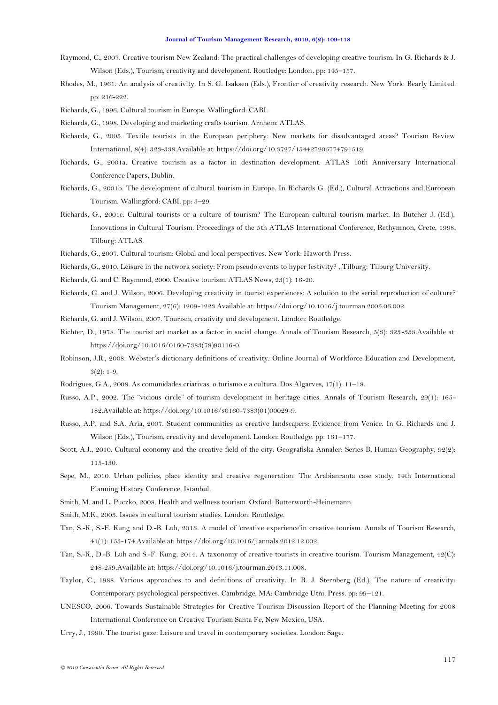#### **Journal of Tourism Management Research, 2019, 6(2): 109-118**

- <span id="page-9-23"></span>Raymond, C., 2007. Creative tourism New Zealand: The practical challenges of developing creative tourism. In G. Richards & J. Wilson (Eds.), Tourism, creativity and development. Routledge: London. pp: 145–157.
- <span id="page-9-12"></span>Rhodes, M., 1961. An analysis of creativity. In S. G. Isaksen (Eds.), Frontier of creativity research. New York: Bearly Limited. pp: 216-222.
- <span id="page-9-2"></span>Richards, G., 1996. Cultural tourism in Europe. Wallingford: CABI.
- <span id="page-9-20"></span>Richards, G., 1998. Developing and marketing crafts tourism. Arnhem: ATLAS.
- Richards, G., 2005. Textile tourists in the European periphery: New markets for disadvantaged areas? Tourism Review International, 8(4): 323-338.Available at: https://doi.org/10.3727/154427205774791519.
- <span id="page-9-1"></span>Richards, G., 2001a. Creative tourism as a factor in destination development. ATLAS 10th Anniversary International Conference Papers, Dublin.
- <span id="page-9-6"></span>Richards, G., 2001b. The development of cultural tourism in Europe. In Richards G. (Ed.), Cultural Attractions and European Tourism. Wallingford: CABI. pp: 3–29.
- <span id="page-9-7"></span>Richards, G., 2001c. Cultural tourists or a culture of tourism? The European cultural tourism market. In Butcher J. (Ed.), Innovations in Cultural Tourism. Proceedings of the 5th ATLAS International Conference, Rethymnon, Crete, 1998, Tilburg: ATLAS.
- <span id="page-9-8"></span>Richards, G., 2007. Cultural tourism: Global and local perspectives. New York: Haworth Press.
- <span id="page-9-25"></span>Richards, G., 2010. Leisure in the network society: From pseudo events to hyper festivity? , Tilburg: Tilburg University.
- <span id="page-9-21"></span>Richards, G. and C. Raymond, 2000. Creative tourism. ATLAS News, 23(1): 16-20.
- <span id="page-9-0"></span>Richards, G. and J. Wilson, 2006. Developing creativity in tourist experiences: A solution to the serial reproduction of culture? Tourism Management, 27(6): 1209-1223.Available at: https://doi.org/10.1016/j.tourman.2005.06.002.
- <span id="page-9-14"></span>Richards, G. and J. Wilson, 2007. Tourism, creativity and development. London: Routledge.
- <span id="page-9-19"></span>Richter, D., 1978. The tourist art market as a factor in social change. Annals of Tourism Research, 5(3): 323-338.Available at: https://doi.org/10.1016/0160-7383(78)90116-0.
- <span id="page-9-10"></span>Robinson, J.R., 2008. Webster's dictionary definitions of creativity. Online Journal of Workforce Education and Development,  $3(2): 1-9.$
- <span id="page-9-24"></span>Rodrigues, G.A., 2008. As comunidades criativas, o turismo e a cultura. Dos Algarves, 17(1): 11–18.
- <span id="page-9-3"></span>Russo, A.P., 2002. The "vicious circle" of tourism development in heritage cities. Annals of Tourism Research, 29(1): 165-182.Available at: https://doi.org/10.1016/s0160-7383(01)00029-9.
- <span id="page-9-15"></span>Russo, A.P. and S.A. Aria, 2007. Student communities as creative landscapers: Evidence from Venice. In G. Richards and J. Wilson (Eds.), Tourism, creativity and development. London: Routledge. pp: 161–177.
- <span id="page-9-13"></span>Scott, A.J., 2010. Cultural economy and the creative field of the city. Geografiska Annaler: Series B, Human Geography, 92(2): 115-130.
- <span id="page-9-17"></span>Sepe, M., 2010. Urban policies, place identity and creative regeneration: The Arabianranta case study. 14th International Planning History Conference, Istanbul.
- <span id="page-9-16"></span>Smith, M. and L. Puczko, 2008. Health and wellness tourism. Oxford: Butterworth-Heinemann.
- <span id="page-9-9"></span>Smith, M.K., 2003. Issues in cultural tourism studies. London: Routledge.
- <span id="page-9-18"></span>Tan, S.-K., S.-F. Kung and D.-B. Luh, 2013. A model of ‗creative experience'in creative tourism. Annals of Tourism Research, 41(1): 153-174.Available at: https://doi.org/10.1016/j.annals.2012.12.002.
- <span id="page-9-4"></span>Tan, S.-K., D.-B. Luh and S.-F. Kung, 2014. A taxonomy of creative tourists in creative tourism. Tourism Management, 42(C): 248-259.Available at: https://doi.org/10.1016/j.tourman.2013.11.008.
- <span id="page-9-11"></span>Taylor, C., 1988. Various approaches to and definitions of creativity. In R. J. Sternberg (Ed.), The nature of creativity: Contemporary psychological perspectives. Cambridge, MA: Cambridge Utni. Press. pp: 99–121.
- <span id="page-9-22"></span>UNESCO, 2006. Towards Sustainable Strategies for Creative Tourism Discussion Report of the Planning Meeting for 2008 International Conference on Creative Tourism Santa Fe, New Mexico, USA.
- <span id="page-9-5"></span>Urry, J., 1990. The tourist gaze: Leisure and travel in contemporary societies. London: Sage.